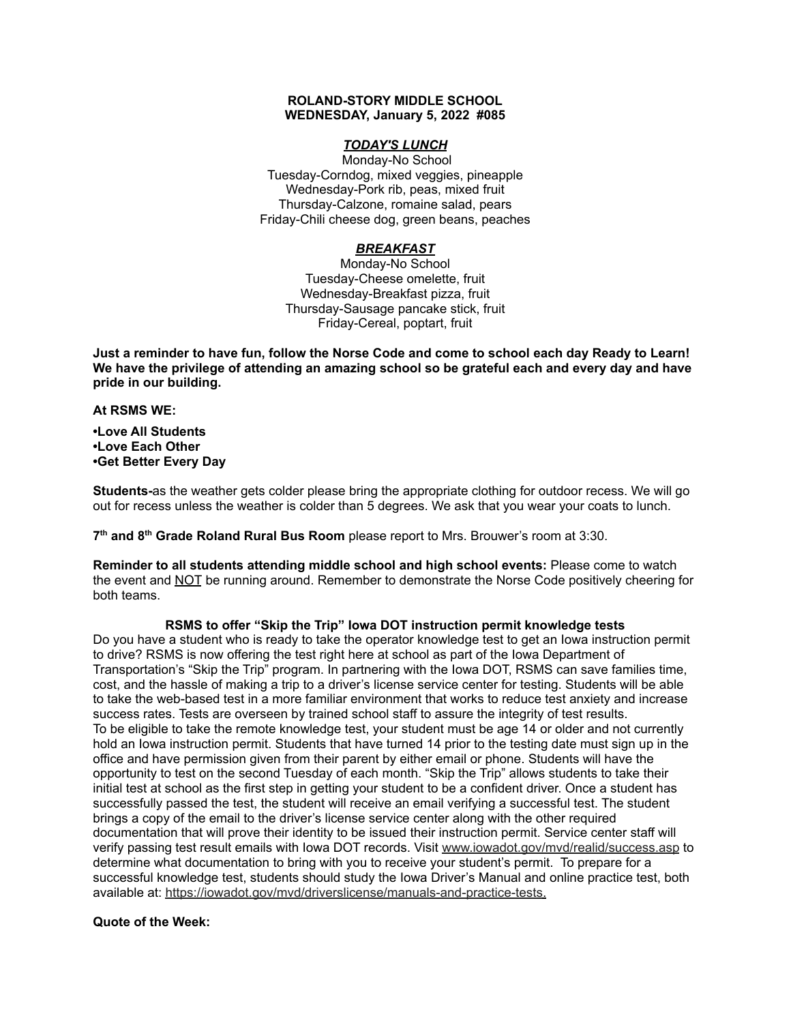#### **ROLAND-STORY MIDDLE SCHOOL WEDNESDAY, January 5, 2022 #085**

# *TODAY'S LUNCH*

Monday-No School Tuesday-Corndog, mixed veggies, pineapple Wednesday-Pork rib, peas, mixed fruit Thursday-Calzone, romaine salad, pears Friday-Chili cheese dog, green beans, peaches

# *BREAKFAST*

Monday-No School Tuesday-Cheese omelette, fruit Wednesday-Breakfast pizza, fruit Thursday-Sausage pancake stick, fruit Friday-Cereal, poptart, fruit

Just a reminder to have fun, follow the Norse Code and come to school each day Ready to Learn! **We have the privilege of attending an amazing school so be grateful each and every day and have pride in our building.**

#### **At RSMS WE:**

**•Love All Students •Love Each Other •Get Better Every Day**

**Students-**as the weather gets colder please bring the appropriate clothing for outdoor recess. We will go out for recess unless the weather is colder than 5 degrees. We ask that you wear your coats to lunch.

**7 th and 8 th Grade Roland Rural Bus Room** please report to Mrs. Brouwer's room at 3:30.

**Reminder to all students attending middle school and high school events:** Please come to watch the event and NOT be running around. Remember to demonstrate the Norse Code positively cheering for both teams.

# **RSMS to offer "Skip the Trip" Iowa DOT instruction permit knowledge tests**

Do you have a student who is ready to take the operator knowledge test to get an Iowa instruction permit to drive? RSMS is now offering the test right here at school as part of the Iowa Department of Transportation's "Skip the Trip" program. In partnering with the Iowa DOT, RSMS can save families time, cost, and the hassle of making a trip to a driver's license service center for testing. Students will be able to take the web-based test in a more familiar environment that works to reduce test anxiety and increase success rates. Tests are overseen by trained school staff to assure the integrity of test results. To be eligible to take the remote knowledge test, your student must be age 14 or older and not currently hold an Iowa instruction permit. Students that have turned 14 prior to the testing date must sign up in the office and have permission given from their parent by either email or phone. Students will have the opportunity to test on the second Tuesday of each month. "Skip the Trip" allows students to take their initial test at school as the first step in getting your student to be a confident driver. Once a student has successfully passed the test, the student will receive an email verifying a successful test. The student brings a copy of the email to the driver's license service center along with the other required documentation that will prove their identity to be issued their instruction permit. Service center staff will verify passing test result emails with Iowa DOT records. Visit [www.iowadot.gov/mvd/realid/success.asp](http://www.iowadot.gov/mvd/realid/success.asp) to determine what documentation to bring with you to receive your student's permit. To prepare for a successful knowledge test, students should study the Iowa Driver's Manual and online practice test, both available at: <https://iowadot.gov/mvd/driverslicense/manuals-and-practice-tests>.

### **Quote of the Week:**